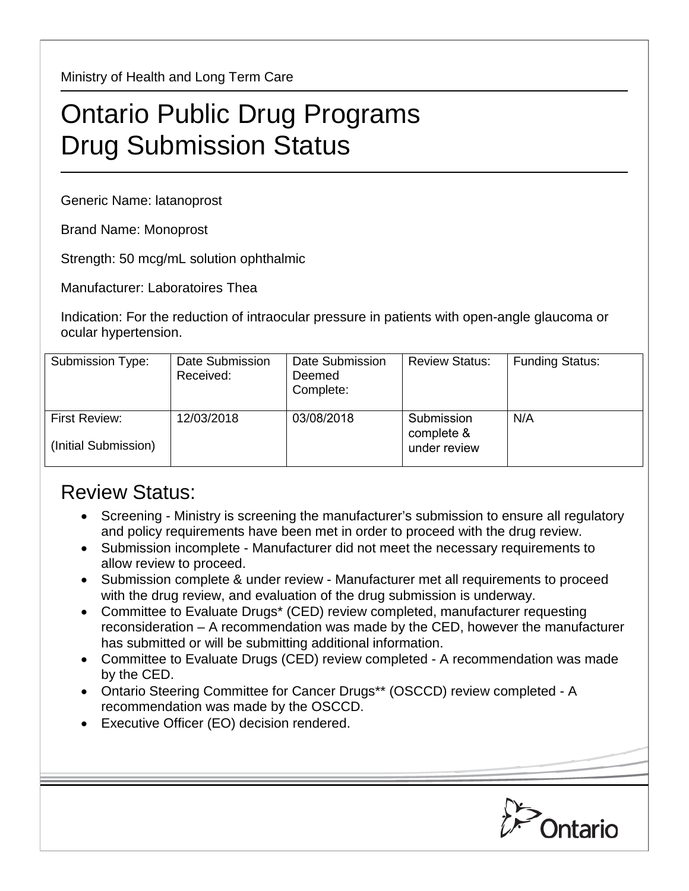Ministry of Health and Long Term Care

## Ontario Public Drug Programs Drug Submission Status

Generic Name: latanoprost

Brand Name: Monoprost

Strength: 50 mcg/mL solution ophthalmic

Manufacturer: Laboratoires Thea

Indication: For the reduction of intraocular pressure in patients with open-angle glaucoma or ocular hypertension.

| Submission Type:                      | Date Submission<br>Received: | Date Submission<br>Deemed<br>Complete: | <b>Review Status:</b>                    | <b>Funding Status:</b> |
|---------------------------------------|------------------------------|----------------------------------------|------------------------------------------|------------------------|
| First Review:<br>(Initial Submission) | 12/03/2018                   | 03/08/2018                             | Submission<br>complete &<br>under review | N/A                    |

## Review Status:

- Screening Ministry is screening the manufacturer's submission to ensure all regulatory and policy requirements have been met in order to proceed with the drug review.
- Submission incomplete Manufacturer did not meet the necessary requirements to allow review to proceed.
- Submission complete & under review Manufacturer met all requirements to proceed with the drug review, and evaluation of the drug submission is underway.
- Committee to Evaluate Drugs\* (CED) review completed, manufacturer requesting reconsideration – A recommendation was made by the CED, however the manufacturer has submitted or will be submitting additional information.
- Committee to Evaluate Drugs (CED) review completed A recommendation was made by the CED.
- Ontario Steering Committee for Cancer Drugs\*\* (OSCCD) review completed A recommendation was made by the OSCCD.
- Executive Officer (EO) decision rendered.